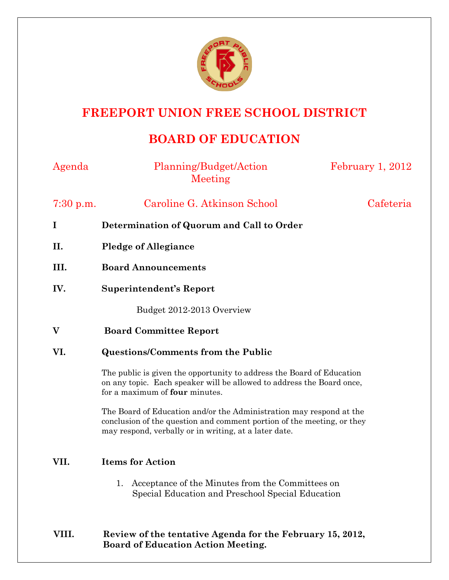

## **FREEPORT UNION FREE SCHOOL DISTRICT**

## **BOARD OF EDUCATION**

| Agenda    | Planning/Budget/Action<br>Meeting                                                                                                                                                                      | February 1, 2012 |
|-----------|--------------------------------------------------------------------------------------------------------------------------------------------------------------------------------------------------------|------------------|
| 7:30 p.m. | Caroline G. Atkinson School                                                                                                                                                                            | Cafeteria        |
| I         | Determination of Quorum and Call to Order                                                                                                                                                              |                  |
| II.       | <b>Pledge of Allegiance</b>                                                                                                                                                                            |                  |
| III.      | <b>Board Announcements</b>                                                                                                                                                                             |                  |
| IV.       | <b>Superintendent's Report</b>                                                                                                                                                                         |                  |
|           | Budget 2012-2013 Overview                                                                                                                                                                              |                  |
| V         | <b>Board Committee Report</b>                                                                                                                                                                          |                  |
| VI.       | <b>Questions/Comments from the Public</b>                                                                                                                                                              |                  |
|           | The public is given the opportunity to address the Board of Education<br>on any topic. Each speaker will be allowed to address the Board once,<br>for a maximum of <b>four</b> minutes.                |                  |
|           | The Board of Education and/or the Administration may respond at the<br>conclusion of the question and comment portion of the meeting, or they<br>may respond, verbally or in writing, at a later date. |                  |
| VII.      | <b>Items for Action</b>                                                                                                                                                                                |                  |
|           | Acceptance of the Minutes from the Committees on<br>1.<br>Special Education and Preschool Special Education                                                                                            |                  |

## **VIII. Review of the tentative Agenda for the February 15, 2012, Board of Education Action Meeting.**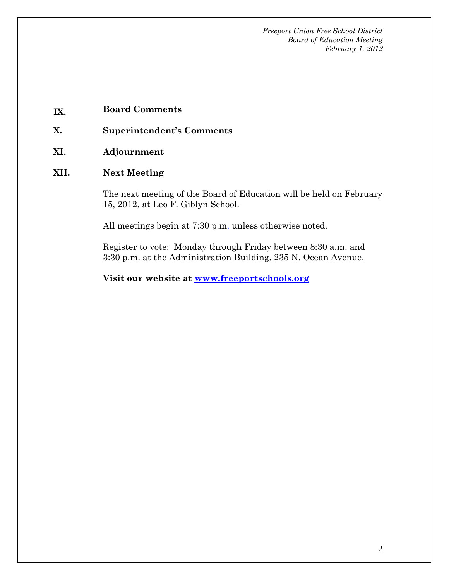*Freeport Union Free School District Board of Education Meeting February 1, 2012* 

- **IX. Board Comments**
- **X. Superintendent's Comments**
- **XI. Adjournment**
- **XII. Next Meeting**

The next meeting of the Board of Education will be held on February 15, 2012, at Leo F. Giblyn School.

All meetings begin at 7:30 p.m. unless otherwise noted.

Register to vote: Monday through Friday between 8:30 a.m. and 3:30 p.m. at the Administration Building, 235 N. Ocean Avenue.

**Visit our website at www.freeportschools.org**